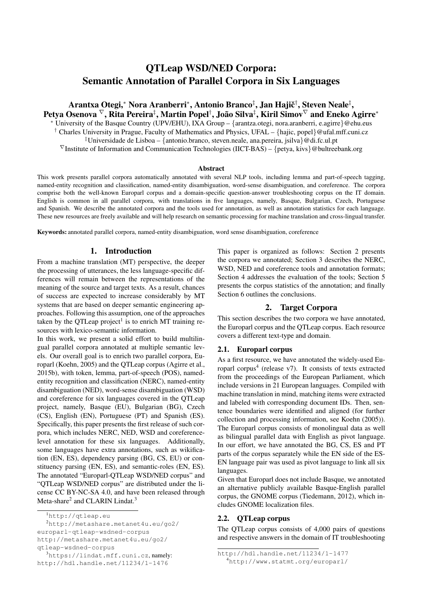# QTLeap WSD/NED Corpora: Semantic Annotation of Parallel Corpora in Six Languages

Arantxa Otegi,\* Nora Aranberri\*, Antonio Branco‡, Jan Hajič†, Steven Neale‡, Petya Osenova  ${}^{\nabla},$  Rita Pereira ${}^{\ddagger},$  Martin Popel ${}^{\dagger},$  João Silva ${}^{\ddagger},$  Kiril Simov ${}^{\nabla}$  and Eneko Agirre ${}^*$ <sup>∗</sup> University of the Basque Country (UPV/EHU), IXA Group – {arantza.otegi, nora.aranberri, e.agirre}@ehu.eus <sup>†</sup> Charles University in Prague, Faculty of Mathematics and Physics, UFAL – {hajic, popel}@ufal.mff.cuni.cz ‡Universidade de Lisboa – {antonio.branco, steven.neale, ana.pereira, jsilva}@di.fc.ul.pt  $\nabla$ Institute of Information and Communication Technologies (IICT-BAS) – {petya, kivs}@bultreebank.org

#### Abstract

This work presents parallel corpora automatically annotated with several NLP tools, including lemma and part-of-speech tagging, named-entity recognition and classification, named-entity disambiguation, word-sense disambiguation, and coreference. The corpora comprise both the well-known Europarl corpus and a domain-specific question-answer troubleshooting corpus on the IT domain. English is common in all parallel corpora, with translations in five languages, namely, Basque, Bulgarian, Czech, Portuguese and Spanish. We describe the annotated corpora and the tools used for annotation, as well as annotation statistics for each language. These new resources are freely available and will help research on semantic processing for machine translation and cross-lingual transfer.

Keywords: annotated parallel corpora, named-entity disambiguation, word sense disambiguation, coreference

#### 1. Introduction

From a machine translation (MT) perspective, the deeper the processing of utterances, the less language-specific differences will remain between the representations of the meaning of the source and target texts. As a result, chances of success are expected to increase considerably by MT systems that are based on deeper semantic engineering approaches. Following this assumption, one of the approaches taken by the QTLeap project<sup>1</sup> is to enrich MT training resources with lexico-semantic information.

In this work, we present a solid effort to build multilingual parallel corpora annotated at multiple semantic levels. Our overall goal is to enrich two parallel corpora, Europarl (Koehn, 2005) and the QTLeap corpus (Agirre et al., 2015b), with token, lemma, part-of-speech (POS), namedentity recognition and classification (NERC), named-entity disambiguation (NED), word-sense disambiguation (WSD) and coreference for six languages covered in the QTLeap project, namely, Basque (EU), Bulgarian (BG), Czech (CS), English (EN), Portuguese (PT) and Spanish (ES). Specifically, this paper presents the first release of such corpora, which includes NERC, NED, WSD and coreferencelevel annotation for these six languages. Additionally, some languages have extra annotations, such as wikification (EN, ES), dependency parsing (BG, CS, EU) or constituency parsing (EN, ES), and semantic-roles (EN, ES). The annotated "Europarl-QTLeap WSD/NED corpus" and "QTLeap WSD/NED corpus" are distributed under the license CC BY-NC-SA 4.0, and have been released through Meta-share<sup>2</sup> and CLARIN Lindat.<sup>3</sup>

<sup>2</sup>http://metashare.metanet4u.eu/go2/ europarl-qtleap-wsdned-corpus http://metashare.metanet4u.eu/go2/

qtleap-wsdned-corpus

This paper is organized as follows: Section 2 presents the corpora we annotated; Section 3 describes the NERC, WSD, NED and coreference tools and annotation formats: Section 4 addresses the evaluation of the tools; Section 5 presents the corpus statistics of the annotation; and finally Section 6 outlines the conclusions.

# 2. Target Corpora

This section describes the two corpora we have annotated, the Europarl corpus and the QTLeap corpus. Each resource covers a different text-type and domain.

# 2.1. Europarl corpus

As a first resource, we have annotated the widely-used Europarl corpus<sup>4</sup> (release v7). It consists of texts extracted from the proceedings of the European Parliament, which include versions in 21 European languages. Compiled with machine translation in mind, matching items were extracted and labeled with corresponding document IDs. Then, sentence boundaries were identified and aligned (for further collection and processing information, see Koehn (2005)). The Europarl corpus consists of monolingual data as well as bilingual parallel data with English as pivot language. In our effort, we have annotated the BG, CS, ES and PT parts of the corpus separately while the EN side of the ES-EN language pair was used as pivot language to link all six languages.

Given that Europarl does not include Basque, we annotated an alternative publicly available Basque-English parallel corpus, the GNOME corpus (Tiedemann, 2012), which includes GNOME localization files.

### 2.2. QTLeap corpus

The QTLeap corpus consists of 4,000 pairs of questions and respective answers in the domain of IT troubleshooting

<sup>1</sup>http://qtleap.eu

<sup>3</sup>https://lindat.mff.cuni.cz, namely: http://hdl.handle.net/11234/1-1476

http://hdl.handle.net/11234/1-1477

<sup>4</sup>http://www.statmt.org/europarl/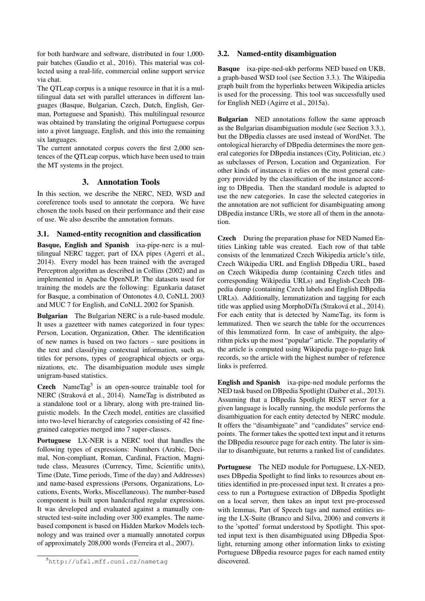for both hardware and software, distributed in four 1,000 pair batches (Gaudio et al., 2016). This material was collected using a real-life, commercial online support service via chat.

The QTLeap corpus is a unique resource in that it is a multilingual data set with parallel utterances in different languages (Basque, Bulgarian, Czech, Dutch, English, German, Portuguese and Spanish). This multilingual resource was obtained by translating the original Portuguese corpus into a pivot language, English, and this into the remaining six languages.

The current annotated corpus covers the first 2,000 sentences of the QTLeap corpus, which have been used to train the MT systems in the project.

# 3. Annotation Tools

In this section, we describe the NERC, NED, WSD and coreference tools used to annotate the corpora. We have chosen the tools based on their performance and their ease of use. We also describe the annotation formats.

# 3.1. Named-entity recognition and classification

Basque, English and Spanish ixa-pipe-nerc is a multilingual NERC tagger, part of IXA pipes (Agerri et al., 2014). Every model has been trained with the averaged Perceptron algorithm as described in Collins (2002) and as implemented in Apache OpenNLP. The datasets used for training the models are the following: Egunkaria dataset for Basque, a combination of Ontonotes 4.0, CoNLL 2003 and MUC 7 for English, and CoNLL 2002 for Spanish.

Bulgarian The Bulgarian NERC is a rule-based module. It uses a gazetteer with names categorized in four types: Person, Location, Organization, Other. The identification of new names is based on two factors – sure positions in the text and classifying contextual information, such as, titles for persons, types of geographical objects or organizations, etc. The disambiguation module uses simple unigram-based statistics.

Czech NameTag<sup>5</sup> is an open-source trainable tool for NERC (Straková et al., 2014). NameTag is distributed as a standalone tool or a library, along with pre-trained linguistic models. In the Czech model, entities are classified into two-level hierarchy of categories consisting of 42 finegrained categories merged into 7 super-classes.

Portuguese LX-NER is a NERC tool that handles the following types of expressions: Numbers (Arabic, Decimal, Non-compliant, Roman, Cardinal, Fraction, Magnitude class, Measures (Currency, Time, Scientific units), Time (Date, Time periods, Time of the day) and Addresses) and name-based expressions (Persons, Organizations, Locations, Events, Works, Miscellaneous). The number-based component is built upon handcrafted regular expressions. It was developed and evaluated against a manually constructed test-suite including over 300 examples. The namebased component is based on Hidden Markov Models technology and was trained over a manually annotated corpus of approximately 208,000 words (Ferreira et al., 2007).

# 3.2. Named-entity disambiguation

Basque ixa-pipe-ned-ukb performs NED based on UKB, a graph-based WSD tool (see Section 3.3.). The Wikipedia graph built from the hyperlinks between Wikipedia articles is used for the processing. This tool was successfully used for English NED (Agirre et al., 2015a).

**Bulgarian** NED annotations follow the same approach as the Bulgarian disambiguation module (see Section 3.3.), but the DBpedia classes are used instead of WordNet. The ontological hierarchy of DBpedia determines the more general categories for DBpedia instances (City, Politician, etc.) as subclasses of Person, Location and Organization. For other kinds of instances it relies on the most general category provided by the classification of the instance according to DBpedia. Then the standard module is adapted to use the new categories. In case the selected categories in the annotation are not sufficient for disambiguating among DBpedia instance URIs, we store all of them in the annotation.

Czech During the preparation phase for NED Named Entities Linking table was created. Each row of that table consists of the lemmatized Czech Wikipedia article's title, Czech Wikipedia URL and English DBpedia URL, based on Czech Wikipedia dump (containing Czech titles and corresponding Wikipedia URLs) and English-Czech DBpedia dump (containing Czech labels and English DBpedia URLs). Additionally, lemmatization and tagging for each title was applied using MorphoDiTa (Straková et al., 2014). For each entity that is detected by NameTag, its form is lemmatized. Then we search the table for the occurrences of this lemmatized form. In case of ambiguity, the algorithm picks up the most "popular" article. The popularity of the article is computed using Wikipedia page-to-page link records, so the article with the highest number of reference links is preferred.

English and Spanish ixa-pipe-ned module performs the NED task based on DBpedia Spotlight (Daiber et al., 2013). Assuming that a DBpedia Spotlight REST server for a given language is locally running, the module performs the disambiguation for each entity detected by NERC module. It offers the "disambiguate" and "candidates" service endpoints. The former takes the spotted text input and it returns the DBpedia resource page for each entity. The later is similar to disambiguate, but returns a ranked list of candidates.

Portuguese The NED module for Portuguese, LX-NED, uses DBpedia Spotlight to find links to resources about entities identified in pre-processed input text. It creates a process to run a Portuguese extraction of DBpedia Spotlight on a local server, then takes an input text pre-processed with lemmas, Part of Speech tags and named entities using the LX-Suite (Branco and Silva, 2006) and converts it to the 'spotted' format understood by Spotlight. This spotted input text is then disambiguated using DBpedia Spotlight, returning among other information links to existing Portuguese DBpedia resource pages for each named entity discovered.

<sup>5</sup>http://ufal.mff.cuni.cz/nametag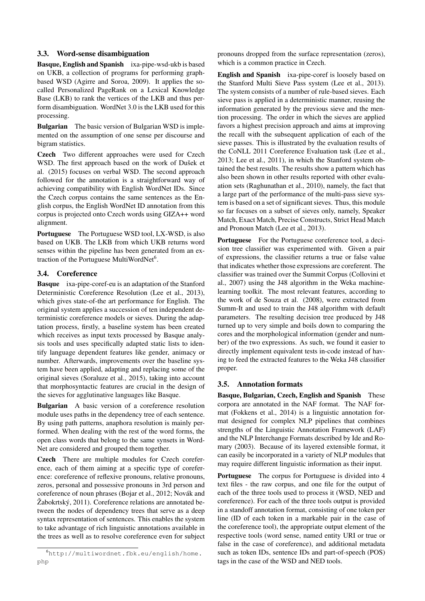# 3.3. Word-sense disambiguation

Basque, English and Spanish ixa-pipe-wsd-ukb is based on UKB, a collection of programs for performing graphbased WSD (Agirre and Soroa, 2009). It applies the socalled Personalized PageRank on a Lexical Knowledge Base (LKB) to rank the vertices of the LKB and thus perform disambiguation. WordNet 3.0 is the LKB used for this processing.

Bulgarian The basic version of Bulgarian WSD is implemented on the assumption of one sense per discourse and bigram statistics.

Czech Two different approaches were used for Czech WSD. The first approach based on the work of Dušek et al. (2015) focuses on verbal WSD. The second approach followed for the annotation is a straightforward way of achieving compatibility with English WordNet IDs. Since the Czech corpus contains the same sentences as the English corpus, the English WordNet ID annotation from this corpus is projected onto Czech words using GIZA++ word alignment.

Portuguese The Portuguese WSD tool, LX-WSD, is also based on UKB. The LKB from which UKB returns word senses within the pipeline has been generated from an extraction of the Portuguese MultiWordNet<sup>6</sup>.

# 3.4. Coreference

Basque ixa-pipe-coref-eu is an adaptation of the Stanford Deterministic Coreference Resolution (Lee et al., 2013), which gives state-of-the art performance for English. The original system applies a succession of ten independent deterministic coreference models or sieves. During the adaptation process, firstly, a baseline system has been created which receives as input texts processed by Basque analysis tools and uses specifically adapted static lists to identify language dependent features like gender, animacy or number. Afterwards, improvements over the baseline system have been applied, adapting and replacing some of the original sieves (Soraluze et al., 2015), taking into account that morphosyntactic features are crucial in the design of the sieves for agglutinative languages like Basque.

Bulgarian A basic version of a coreference resolution module uses paths in the dependency tree of each sentence. By using path patterns, anaphora resolution is mainly performed. When dealing with the rest of the word forms, the open class words that belong to the same synsets in Word-Net are considered and grouped them together.

Czech There are multiple modules for Czech coreference, each of them aiming at a specific type of coreference: coreference of reflexive pronouns, relative pronouns, zeros, personal and possessive pronouns in 3rd person and coreference of noun phrases (Bojar et al., 2012; Novák and Žabokrtský, 2011). Coreference relations are annotated between the nodes of dependency trees that serve as a deep syntax representation of sentences. This enables the system to take advantage of rich linguistic annotations available in the trees as well as to resolve coreference even for subject pronouns dropped from the surface representation (zeros), which is a common practice in Czech.

English and Spanish ixa-pipe-coref is loosely based on the Stanford Multi Sieve Pass system (Lee et al., 2013). The system consists of a number of rule-based sieves. Each sieve pass is applied in a deterministic manner, reusing the information generated by the previous sieve and the mention processing. The order in which the sieves are applied favors a highest precision approach and aims at improving the recall with the subsequent application of each of the sieve passes. This is illustrated by the evaluation results of the CoNLL 2011 Coreference Evaluation task (Lee et al., 2013; Lee et al., 2011), in which the Stanford system obtained the best results. The results show a pattern which has also been shown in other results reported with other evaluation sets (Raghunathan et al., 2010), namely, the fact that a large part of the performance of the multi-pass sieve system is based on a set of significant sieves. Thus, this module so far focuses on a subset of sieves only, namely, Speaker Match, Exact Match, Precise Constructs, Strict Head Match and Pronoun Match (Lee et al., 2013).

Portuguese For the Portuguese coreference tool, a decision tree classifier was experimented with. Given a pair of expressions, the classifier returns a true or false value that indicates whether those expressions are coreferent. The classifier was trained over the Summit Corpus (Collovini et al., 2007) using the J48 algorithm in the Weka machinelearning toolkit. The most relevant features, according to the work of de Souza et al. (2008), were extracted from Summ-It and used to train the J48 algorithm with default parameters. The resulting decision tree produced by J48 turned up to very simple and boils down to comparing the cores and the morphological information (gender and number) of the two expressions. As such, we found it easier to directly implement equivalent tests in-code instead of having to feed the extracted features to the Weka J48 classifier proper.

# 3.5. Annotation formats

Basque, Bulgarian, Czech, English and Spanish These corpora are annotated in the NAF format. The NAF format (Fokkens et al., 2014) is a linguistic annotation format designed for complex NLP pipelines that combines strengths of the Linguistic Annotation Framework (LAF) and the NLP Interchange Formats described by Ide and Romary (2003). Because of its layered extensible format, it can easily be incorporated in a variety of NLP modules that may require different linguistic information as their input.

Portuguese The corpus for Portuguese is divided into 4 text files - the raw corpus, and one file for the output of each of the three tools used to process it (WSD, NED and coreference). For each of the three tools output is provided in a standoff annotation format, consisting of one token per line (ID of each token in a markable pair in the case of the coreference tool), the appropriate output element of the respective tools (word sense, named entity URI or true or false in the case of coreference), and additional metadata such as token IDs, sentence IDs and part-of-speech (POS) tags in the case of the WSD and NED tools.

<sup>6</sup>http://multiwordnet.fbk.eu/english/home.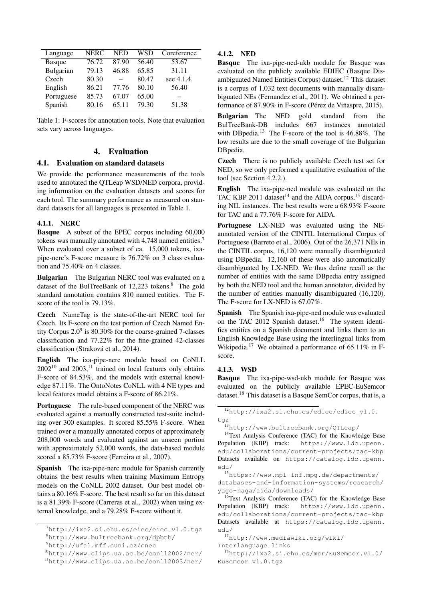| Language      | NERC  | <b>NED</b> | WSD   | Coreference |
|---------------|-------|------------|-------|-------------|
| <b>Basque</b> | 76.72 | 87.90      | 56.40 | 53.67       |
| Bulgarian     | 79.13 | 46.88      | 65.85 | 31.11       |
| Czech         | 80.30 |            | 80.47 | see 4.1.4.  |
| English       | 86.21 | 77.76      | 80.10 | 56.40       |
| Portuguese    | 85.73 | 67.07      | 65.00 |             |
| Spanish       | 80.16 | 65.11      | 79.30 | 51.38       |

Table 1: F-scores for annotation tools. Note that evaluation sets vary across languages.

# 4. Evaluation

### 4.1. Evaluation on standard datasets

We provide the performance measurements of the tools used to annotated the QTLeap WSD/NED corpora, providing information on the evaluation datasets and scores for each tool. The summary performance as measured on standard datasets for all languages is presented in Table 1.

#### 4.1.1. NERC

Basque A subset of the EPEC corpus including 60,000 tokens was manually annotated with 4,748 named entities.<sup>7</sup> When evaluated over a subset of ca. 15,000 tokens, ixapipe-nerc's F-score measure is 76.72% on 3 class evaluation and 75.40% on 4 classes.

Bulgarian The Bulgarian NERC tool was evaluated on a dataset of the BulTreeBank of 12,223 tokens.<sup>8</sup> The gold standard annotation contains 810 named entities. The Fscore of the tool is 79.13%.

Czech NameTag is the state-of-the-art NERC tool for Czech. Its F-score on the test portion of Czech Named Entity Corpus  $2.0^9$  is 80.30% for the coarse-grained 7-classes classification and 77.22% for the fine-grained 42-classes classification (Straková et al., 2014).

English The ixa-pipe-nerc module based on CoNLL  $2002^{10}$  and  $2003$ , <sup>11</sup> trained on local features only obtains F-score of 84.53%, and the models with external knowledge 87.11%. The OntoNotes CoNLL with 4 NE types and local features model obtains a F-score of 86.21%.

Portuguese The rule-based component of the NERC was evaluated against a manually constructed test-suite including over 300 examples. It scored 85.55% F-score. When trained over a manually annotated corpus of approximately 208,000 words and evaluated against an unseen portion with approximately 52,000 words, the data-based module scored a 85.73% F-score (Ferreira et al., 2007).

Spanish The ixa-pipe-nerc module for Spanish currently obtains the best results when training Maximum Entropy models on the CoNLL 2002 dataset. Our best model obtains a 80.16% F-score. The best result so far on this dataset is a 81.39% F-score (Carreras et al., 2002) when using external knowledge, and a 79.28% F-score without it.

### 4.1.2. NED

Basque The ixa-pipe-ned-ukb module for Basque was evaluated on the publicly available EDIEC (Basque Disambiguated Named Entities Corpus) dataset.<sup>12</sup> This dataset is a corpus of 1,032 text documents with manually disambiguated NEs (Fernandez et al., 2011). We obtained a performance of 87.90% in F-score (Pérez de Viñaspre, 2015).

Bulgarian The NED gold standard from the BulTreeBank-DB includes 667 instances annotated with DBpedia.<sup>13</sup> The F-score of the tool is 46.88%. The low results are due to the small coverage of the Bulgarian DBpedia.

Czech There is no publicly available Czech test set for NED, so we only performed a qualitative evaluation of the tool (see Section 4.2.2.).

English The ixa-pipe-ned module was evaluated on the TAC KBP 2011 dataset<sup>14</sup> and the AIDA corpus,<sup>15</sup> discarding NIL instances. The best results were a 68.93% F-score for TAC and a 77.76% F-score for AIDA.

Portuguese LX-NED was evaluated using the NEannotated version of the CINTIL International Corpus of Portuguese (Barreto et al., 2006). Out of the 26,371 NEs in the CINTIL corpus, 16,120 were manually disambiguated using DBpedia. 12,160 of these were also automatically disambiguated by LX-NED. We thus define recall as the number of entities with the same DBpedia entry assigned by both the NED tool and the human annotator, divided by the number of entities manually disambiguated (16,120). The F-score for LX-NED is 67.07%.

Spanish The Spanish ixa-pipe-ned module was evaluated on the TAC 2012 Spanish dataset.<sup>16</sup> The system identifies entities on a Spanish document and links them to an English Knowledge Base using the interlingual links from Wikipedia.<sup>17</sup> We obtained a performance of 65.11% in Fscore.

#### 4.1.3. WSD

Basque The ixa-pipe-wsd-ukb module for Basque was evaluated on the publicly available EPEC-EuSemcor dataset.<sup>18</sup> This dataset is a Basque SemCor corpus, that is, a

Interlanguage\_links

 $^{7}$ http://ixa2.si.ehu.es/eiec/eiec\_v1.0.tgz <sup>8</sup>http://www.bultreebank.org/dpbtb/

<sup>9</sup>http://ufal.mff.cuni.cz/cnec

<sup>10</sup>http://www.clips.ua.ac.be/conll2002/ner/

<sup>11</sup>http://www.clips.ua.ac.be/conll2003/ner/

<sup>12</sup>http://ixa2.si.ehu.es/ediec/ediec\_v1.0. tgz

<sup>13</sup>http://www.bultreebank.org/QTLeap/

<sup>&</sup>lt;sup>14</sup>Text Analysis Conference (TAC) for the Knowledge Base Population (KBP) track: https://www.ldc.upenn. edu/collaborations/current-projects/tac-kbp Datasets available on https://catalog.ldc.upenn. edu/

<sup>15</sup>https://www.mpi-inf.mpg.de/departments/ databases-and-information-systems/research/ yago-naga/aida/downloads/

<sup>16</sup>Text Analysis Conference (TAC) for the Knowledge Base Population (KBP) track: https://www.ldc.upenn. edu/collaborations/current-projects/tac-kbp Datasets available at https://catalog.ldc.upenn. edu/

<sup>17</sup>http://www.mediawiki.org/wiki/

<sup>18</sup>http://ixa2.si.ehu.es/mcr/EuSemcor.v1.0/ EuSemcor\_v1.0.tgz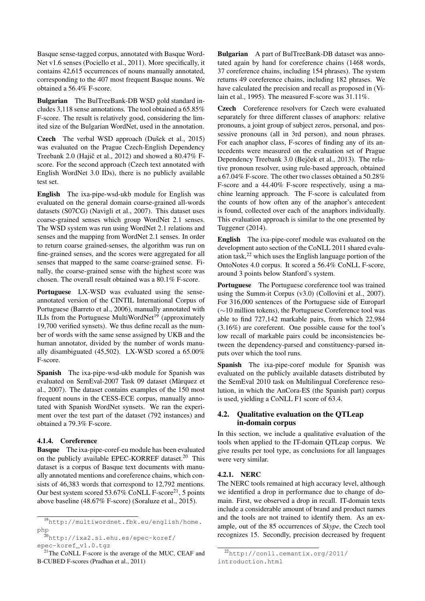Basque sense-tagged corpus, annotated with Basque Word-Net v1.6 senses (Pociello et al., 2011). More specifically, it contains 42,615 occurrences of nouns manually annotated, corresponding to the 407 most frequent Basque nouns. We obtained a 56.4% F-score.

Bulgarian The BulTreeBank-DB WSD gold standard includes 3,118 sense annotations. The tool obtained a 65.85% F-score. The result is relatively good, considering the limited size of the Bulgarian WordNet, used in the annotation.

Czech The verbal WSD approach (Dušek et al., 2015) was evaluated on the Prague Czech-English Dependency Treebank 2.0 (Hajič et al., 2012) and showed a  $80.47\%$  Fscore. For the second approach (Czech text annotated with English WordNet 3.0 IDs), there is no publicly available test set.

English The ixa-pipe-wsd-ukb module for English was evaluated on the general domain coarse-grained all-words datasets (S07CG) (Navigli et al., 2007). This dataset uses coarse-grained senses which group WordNet 2.1 senses. The WSD system was run using WordNet 2.1 relations and senses and the mapping from WordNet 2.1 senses. In order to return coarse grained-senses, the algorithm was run on fine-grained senses, and the scores were aggregated for all senses that mapped to the same coarse-grained sense. Finally, the coarse-grained sense with the highest score was chosen. The overall result obtained was a 80.1% F-score.

Portuguese LX-WSD was evaluated using the senseannotated version of the CINTIL International Corpus of Portuguese (Barreto et al., 2006), manually annotated with ILIs from the Portuguese MultiWordNet<sup>19</sup> (approximately 19,700 verified synsets). We thus define recall as the number of words with the same sense assigned by UKB and the human annotator, divided by the number of words manually disambiguated (45,502). LX-WSD scored a 65.00% F-score.

Spanish The ixa-pipe-wsd-ukb module for Spanish was evaluated on SemEval-2007 Task 09 dataset (Màrquez et al., 2007). The dataset contains examples of the 150 most frequent nouns in the CESS-ECE corpus, manually annotated with Spanish WordNet synsets. We ran the experiment over the test part of the dataset (792 instances) and obtained a 79.3% F-score.

### 4.1.4. Coreference

Basque The ixa-pipe-coref-eu module has been evaluated on the publicly available EPEC-KORREF dataset.<sup>20</sup> This dataset is a corpus of Basque text documents with manually annotated mentions and coreference chains, which consists of 46,383 words that correspond to 12,792 mentions. Our best system scored  $53.67\%$  CoNLL F-score<sup>21</sup>, 5 points above baseline (48.67% F-score) (Soraluze et al., 2015).

Bulgarian A part of BulTreeBank-DB dataset was annotated again by hand for coreference chains (1468 words, 37 coreference chains, including 154 phrases). The system returns 49 coreference chains, including 182 phrases. We have calculated the precision and recall as proposed in (Vilain et al., 1995). The measured F-score was 31.11%.

Czech Coreference resolvers for Czech were evaluated separately for three different classes of anaphors: relative pronouns, a joint group of subject zeros, personal, and possessive pronouns (all in 3rd person), and noun phrases. For each anaphor class, F-scores of finding any of its antecedents were measured on the evaluation set of Prague Dependency Treebank 3.0 (Bejček et al., 2013). The relative pronoun resolver, using rule-based approach, obtained a 67.04% F-score. The other two classes obtained a 50.28% F-score and a 44.40% F-score respectively, using a machine learning approach. The F-score is calculated from the counts of how often any of the anaphor's antecedent is found, collected over each of the anaphors individually. This evaluation approach is similar to the one presented by Tuggener (2014).

English The ixa-pipe-coref module was evaluated on the development auto section of the CoNLL 2011 shared evaluation task, $^{22}$  which uses the English language portion of the OntoNotes 4.0 corpus. It scored a 56.4% CoNLL F-score, around 3 points below Stanford's system.

Portuguese The Portuguese coreference tool was trained using the Summ-it Corpus (v3.0) (Collovini et al., 2007). For 316,000 sentences of the Portuguese side of Europarl (∼10 million tokens), the Portuguese Coreference tool was able to find 727,142 markable pairs, from which 22,984 (3.16%) are coreferent. One possible cause for the tool's low recall of markable pairs could be inconsistencies between the dependency-parsed and constituency-parsed inputs over which the tool runs.

Spanish The ixa-pipe-coref module for Spanish was evaluated on the publicly available datasets distributed by the SemEval 2010 task on Multilingual Coreference resolution, in which the AnCora-ES (the Spanish part) corpus is used, yielding a CoNLL F1 score of 63.4.

# 4.2. Qualitative evaluation on the QTLeap in-domain corpus

In this section, we include a qualitative evaluation of the tools when applied to the IT-domain QTLeap corpus. We give results per tool type, as conclusions for all languages were very similar.

# 4.2.1. NERC

The NERC tools remained at high accuracy level, although we identified a drop in performance due to change of domain. First, we observed a drop in recall. IT-domain texts include a considerable amount of brand and product names and the tools are not trained to identify them. As an example, out of the 85 occurrences of *Skype*, the Czech tool recognizes 15. Secondly, precision decreased by frequent

<sup>19</sup>http://multiwordnet.fbk.eu/english/home. php

 $^{20}$ http://ixa2.si.ehu.es/epec-koref/ epec-koref\_v1.0.tgz

 $21$ The CoNLL F-score is the average of the MUC, CEAF and B-CUBED F-scores (Pradhan et al., 2011)

<sup>22</sup>http://conll.cemantix.org/2011/

introduction.html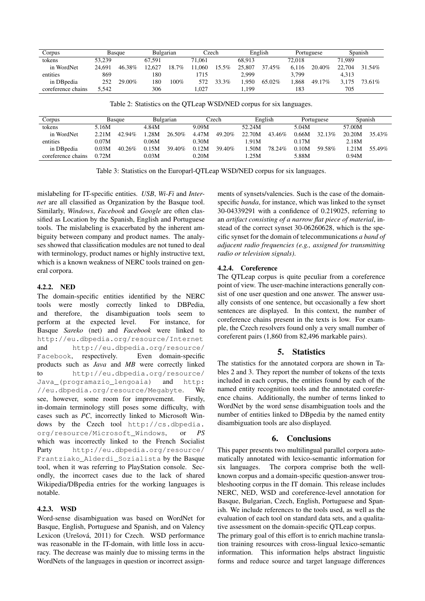| Corpus             | Basque |        | Bulgarian |       | Czech  |       | English |        | Portuguese |         | Spanish |        |
|--------------------|--------|--------|-----------|-------|--------|-------|---------|--------|------------|---------|---------|--------|
| tokens             | 53.239 |        | 67.591    |       | 71.061 |       | 68.913  |        | 72.018     |         | 71.989  |        |
| in WordNet         | 24,691 | 46.38% | 12.627    | 18.7% | .060   | 15.5% | 25,807  | 37.45% | 6.116      | 20.40\% | 22,704  | 31.54% |
| entities           | 869    |        | 180       |       | 715    |       | 2.999   |        | 3.799      |         | 4.313   |        |
| in DB pedia        | 252    | 29.00% | 180       | 100%  | 572    | 33.3% | .950    | 65.02% | .868       | 49.17%  | 3.175   | 73.61% |
| coreference chains | 5.542  |        | 306       |       | .027   |       | .199    |        | 183        |         | 705     |        |

Table 2: Statistics on the QTLeap WSD/NED corpus for six languages.

| Corpus             | Basque |           | Bulgarian |        | Czech |        | English |           | Portuguese |           | Spanish |        |
|--------------------|--------|-----------|-----------|--------|-------|--------|---------|-----------|------------|-----------|---------|--------|
| tokens             | 5.16M  |           | 4.84M     |        | 9.09M |        | 52.24M  |           | 5.04M      |           | 57.00M  |        |
| in WordNet         | 2.21M  | $42.94\%$ | $-28M$    | 26.50% | 4.47M | 49.20% | 22.70M  | $43.46\%$ | 0.66M.     | $32.13\%$ | 20.20M  | 35.43% |
| entities           | 0.07M  |           | 0.06M     |        | 0.30M |        | 1.91M   |           | 0.17M      |           | 2.18M   |        |
| in DB pedia        | 0.03M  | $40.26\%$ | 0.15M     | 39.40% | 0.12M | 39.40% | .50M    | 78.24%    | 0.10M      | 59.58%    | ⊟21M    | 55.49% |
| coreference chains | 0.72M  |           | 0.03M     |        | 0.20M |        | 1.25M   |           | 5.88M      |           | 0.94M   |        |

Table 3: Statistics on the Europarl-QTLeap WSD/NED corpus for six languages.

mislabeling for IT-specific entities. *USB*, *Wi-Fi* and *Internet* are all classified as Organization by the Basque tool. Similarly, *Windows*, *Facebook* and *Google* are often classified as Location by the Spanish, English and Portuguese tools. The mislabeling is exacerbated by the inherent ambiguity between company and product names. The analyses showed that classification modules are not tuned to deal with terminology, product names or highly instructive text, which is a known weakness of NERC tools trained on general corpora.

### 4.2.2. NED

The domain-specific entities identified by the NERC tools were mostly correctly linked to DBPedia, and therefore, the disambiguation tools seem to perform at the expected level. For instance, for Basque *Sareko* (net) and *Facebook* were linked to http://eu.dbpedia.org/resource/Internet and http://eu.dbpedia.org/resource/ Facebook, respectively. Even domain-specific products such as *Java* and *MB* were correctly linked to http://eu.dbpedia.org/resource/ Java\_(programazio\_lengoaia) and http: //eu.dbpedia.org/resource/Megabyte. We see, however, some room for improvement. Firstly, in-domain terminology still poses some difficulty, with cases such as *PC*, incorrectly linked to Microsoft Windows by the Czech tool http://cs.dbpedia. org/resource/Microsoft\_Windows, or *PS* which was incorrectly linked to the French Socialist Party http://eu.dbpedia.org/resource/ Frantziako\_Alderdi\_Sozialista by the Basque tool, when it was referring to PlayStation console. Secondly, the incorrect cases due to the lack of shared Wikipedia/DBpedia entries for the working languages is notable.

# 4.2.3. WSD

Word-sense disambiguation was based on WordNet for Basque, English, Portuguese and Spanish, and on Valency Lexicon (Urešová, 2011) for Czech. WSD performance was reasonable in the IT-domain, with little loss in accuracy. The decrease was mainly due to missing terms in the WordNets of the languages in question or incorrect assignments of synsets/valencies. Such is the case of the domainspecific *banda*, for instance, which was linked to the synset 30-04339291 with a confidence of 0.219025, referring to an *artifact consisting of a narrow flat piece of material*, instead of the correct synset 30-06260628, which is the specific synset for the domain of telecommunications *a band of adjacent radio frequencies (e.g., assigned for transmitting radio or television signals)*.

# 4.2.4. Coreference

The QTLeap corpus is quite peculiar from a coreference point of view. The user-machine interactions generally consist of one user question and one answer. The answer usually consists of one sentence, but occasionally a few short sentences are displayed. In this context, the number of coreference chains present in the texts is low. For example, the Czech resolvers found only a very small number of coreferent pairs (1,860 from 82,496 markable pairs).

# 5. Statistics

The statistics for the annotated corpora are shown in Tables 2 and 3. They report the number of tokens of the texts included in each corpus, the entities found by each of the named entity recognition tools and the annotated coreference chains. Additionally, the number of terms linked to WordNet by the word sense disambiguation tools and the number of entities linked to DBpedia by the named entity disambiguation tools are also displayed.

# 6. Conclusions

This paper presents two multilingual parallel corpora automatically annotated with lexico-semantic information for six languages. The corpora comprise both the wellknown corpus and a domain-specific question-answer troubleshooting corpus in the IT domain. This release includes NERC, NED, WSD and coreference-level annotation for Basque, Bulgarian, Czech, English, Portuguese and Spanish. We include references to the tools used, as well as the evaluation of each tool on standard data sets, and a qualitative assessment on the domain-specific QTLeap corpus. The primary goal of this effort is to enrich machine translation training resources with cross-lingual lexico-semantic information. This information helps abstract linguistic forms and reduce source and target language differences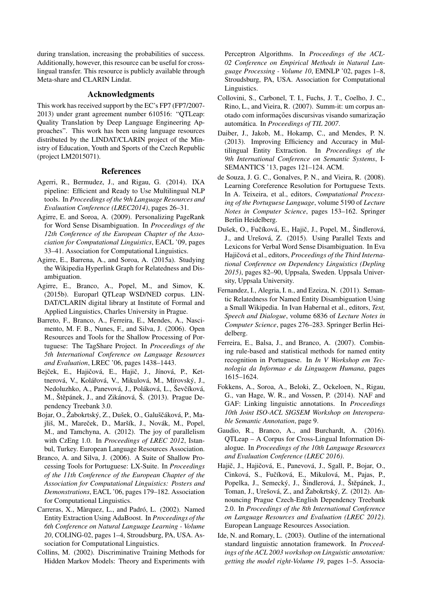during translation, increasing the probabilities of success. Additionally, however, this resource can be useful for crosslingual transfer. This resource is publicly available through Meta-share and CLARIN Lindat.

### Acknowledgments

This work has received support by the EC's FP7 (FP7/2007- 2013) under grant agreement number 610516: "QTLeap: Quality Translation by Deep Language Engineering Approaches". This work has been using language resources distributed by the LINDAT/CLARIN project of the Ministry of Education, Youth and Sports of the Czech Republic (project LM2015071).

#### References

- Agerri, R., Bermudez, J., and Rigau, G. (2014). IXA pipeline: Efficient and Ready to Use Multilingual NLP tools. In *Proceedings of the 9th Language Resources and Evaluation Conference (LREC2014)*, pages 26–31.
- Agirre, E. and Soroa, A. (2009). Personalizing PageRank for Word Sense Disambiguation. In *Proceedings of the 12th Conference of the European Chapter of the Association for Computational Linguistics*, EACL '09, pages 33–41. Association for Computational Linguistics.
- Agirre, E., Barrena, A., and Soroa, A. (2015a). Studying the Wikipedia Hyperlink Graph for Relatedness and Disambiguation.
- Agirre, E., Branco, A., Popel, M., and Simov, K. (2015b). Europarl QTLeap WSD/NED corpus. LIN-DAT/CLARIN digital library at Institute of Formal and Applied Linguistics, Charles University in Prague.
- Barreto, F., Branco, A., Ferreira, E., Mendes, A., Nascimento, M. F. B., Nunes, F., and Silva, J. (2006). Open Resources and Tools for the Shallow Processing of Portuguese: The TagShare Project. In *Proceedings of the 5th International Conference on Language Resources and Evaluation*, LREC '06, pages 1438–1443.
- Bejček, E., Hajičová, E., Hajič, J., Jínová, P., Kettnerová, V., Kolářová, V., Mikulová, M., Mírovský, J., Nedoluzhko, A., Panevová, J., Poláková, L., Ševčíková, M., Štěpánek, J., and Zikánová, Š. (2013). Prague Dependency Treebank 3.0.
- Bojar, O., Žabokrtský, Z., Dušek, O., Galuščáková, P., Majliš, M., Mareček, D., Maršík, J., Novák, M., Popel, M., and Tamchyna, A. (2012). The joy of parallelism with CzEng 1.0. In *Proceedings of LREC 2012*, Istanbul, Turkey. European Language Resources Association.
- Branco, A. and Silva, J. (2006). A Suite of Shallow Processing Tools for Portuguese: LX-Suite. In *Proceedings of the 11th Conference of the European Chapter of the Association for Computational Linguistics: Posters and Demonstrations*, EACL '06, pages 179–182. Association for Computational Linguistics.
- Carreras, X., Màrquez, L., and Padró, L. (2002). Named Entity Extraction Using AdaBoost. In *Proceedings of the 6th Conference on Natural Language Learning - Volume 20*, COLING-02, pages 1–4, Stroudsburg, PA, USA. Association for Computational Linguistics.
- Collins, M. (2002). Discriminative Training Methods for Hidden Markov Models: Theory and Experiments with

Perceptron Algorithms. In *Proceedings of the ACL-02 Conference on Empirical Methods in Natural Language Processing - Volume 10*, EMNLP '02, pages 1–8, Stroudsburg, PA, USA. Association for Computational Linguistics.

- Collovini, S., Carbonel, T. I., Fuchs, J. T., Coelho, J. C., Rino, L., and Vieira, R. (2007). Summ-it: um corpus anotado com informações discursivas visando sumarização automática. In *Proceedings of TIL 2007*.
- Daiber, J., Jakob, M., Hokamp, C., and Mendes, P. N. (2013). Improving Efficiency and Accuracy in Multilingual Entity Extraction. In *Proceedings of the 9th International Conference on Semantic Systems*, I-SEMANTICS '13, pages 121–124. ACM.
- de Souza, J. G. C., Gonalves, P. N., and Vieira, R. (2008). Learning Coreference Resolution for Portuguese Texts. In A. Teixeira, et al., editors, *Computational Processing of the Portuguese Language*, volume 5190 of *Lecture Notes in Computer Science*, pages 153–162. Springer Berlin Heidelberg.
- Dušek, O., Fučíková, E., Hajič, J., Popel, M., Šindlerová, J., and Urešová, Z. (2015). Using Parallel Texts and Lexicons for Verbal Word Sense Disambiguation. In Eva Hajičová et al., editors, Proceedings of the Third Interna*tional Conference on Dependency Linguistics (Depling 2015)*, pages 82–90, Uppsala, Sweden. Uppsala University, Uppsala University.
- Fernandez, I., Alegria, I. n., and Ezeiza, N. (2011). Semantic Relatedness for Named Entity Disambiguation Using a Small Wikipedia. In Ivan Habernal et al., editors, *Text, Speech and Dialogue*, volume 6836 of *Lecture Notes in Computer Science*, pages 276–283. Springer Berlin Heidelberg.
- Ferreira, E., Balsa, J., and Branco, A. (2007). Combining rule-based and statistical methods for named entity recognition in Portuguese. In *In V Workshop em Tecnologia da Informao e da Linguagem Humana*, pages 1615–1624.
- Fokkens, A., Soroa, A., Beloki, Z., Ockeloen, N., Rigau, G., van Hage, W. R., and Vossen, P. (2014). NAF and GAF: Linking linguistic annotations. In *Proceedings 10th Joint ISO-ACL SIGSEM Workshop on Interoperable Semantic Annotation*, page 9.
- Gaudio, R., Branco, A., and Burchardt, A. (2016). QTLeap – A Corpus for Cross-Lingual Information Dialogue. In *Proceedings of the 10th Language Resources and Evaluation Conference (LREC 2016)*.
- Hajič, J., Hajičová, E., Panevová, J., Sgall, P., Bojar, O., Cinková, S., Fučíková, E., Mikulová, M., Pajas, P., Popelka, J., Semecký, J., Šindlerová, J., Štěpánek, J., Toman, J., Urešová, Z., and Žabokrtský, Z. (2012). Announcing Prague Czech-English Dependency Treebank 2.0. In *Proceedings of the 8th International Conference on Language Resources and Evaluation (LREC 2012)*. European Language Resources Association.
- Ide, N. and Romary, L. (2003). Outline of the international standard linguistic annotation framework. In *Proceedings of the ACL 2003 workshop on Linguistic annotation: getting the model right-Volume 19*, pages 1–5. Associa-